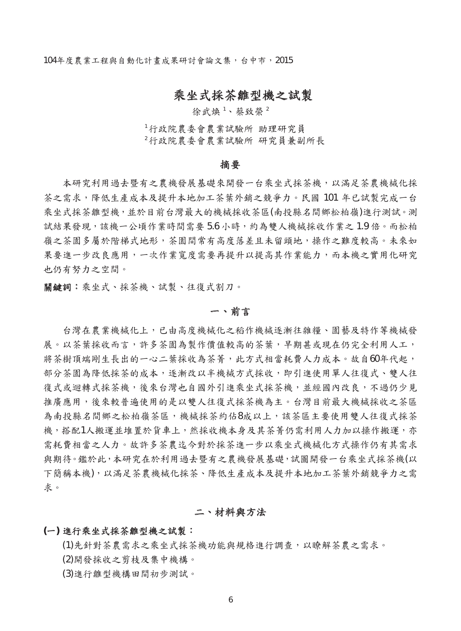104年度農業工程與自動化計畫成果研討會論文集,台中市,2015

# 乘坐式採茶雛型機之試製

徐武煥<sup>1、蔡致榮2</sup>

<sup>1</sup>行政院農委會農業試驗所 助理研究員<sup>2</sup>行政院農委會農業試驗所 研究員兼副所長

#### 摘要

本研究利用過去暨有之農機發展基礎來開發一台乘坐式採茶機,以滿足茶農機械化採 茶之需求,降低生產成本及提升本地加工茶葉外銷之競爭力。民國 101 年已試製完成一台 乘坐式採茶雛型機,並於目前台灣最大的機械採收茶區(南投縣名間鄉松柏嶺)進行測試。測 試結果發現,該機一公頃作業時間需要 5.6 小時,約為雙人機械採收作業之 1.9 倍。而松柏 嶺之茶園多屬於階梯式地形,茶園間常有高度落差且未留頭地,操作之難度較高。未來如 果要進一步改良應用,一次作業寬度需要再提升以提高其作業能力,而本機之實用化研究 也仍有努力之空間。

關鍵詞:乘坐式、採茶機、試製、往復式割刀。

#### 一、前言

台灣在農業機械化上,已由高度機械化之稻作機械逐漸往雜糧、園藝及特作等機械發 展。以茶葉採收而言,許多茶園為製作價值較高的茶葉,早期甚或現在仍完全利用人工, 將茶樹頂端剛生長出的一心二葉採收為茶菁,此方式相當耗費人力成本。故自60年代起, 部分茶園為降低採茶的成本,逐漸改以半機械方式採收,即引進使用單人往復式、雙人往 復式或迴轉式採茶機,後來台灣也自國外引進乘坐式採茶機,並經國內改良,不過仍少見 推廣應用,後來較普遍使用的是以雙人往復式採茶機為主。台灣目前最大機械採收之茶區 為南投縣名間鄉之松柏嶺茶區,機械採茶約佔8成以上,該茶區主要使用雙人往復式採茶 機,搭配1人搬運並堆置於貨車上,然採收機本身及其茶菁仍需利用人力加以操作搬運,亦 需耗費相當之人力。故許多茶農迄今對於採茶進一步以乘坐式機械化方式操作仍有其需求 與期待。鑑於此,本研究在於利用過去暨有之農機發展基礎,試圖開發一台乘坐式採茶機(以 下簡稱本機),以滿足茶農機械化採茶、降低生產成本及提升本地加工茶葉外銷競爭力之需 求。

# 二、材料與方法

## **(**一**)** 進行乘坐式採茶雛型機之試製:

(1)先針對茶農需求之乘坐式採茶機功能與規格進行調查,以瞭解茶農之需求。 (2)開發採收之剪枝及集中機構。

(3)進行雛型機構田間初步測試。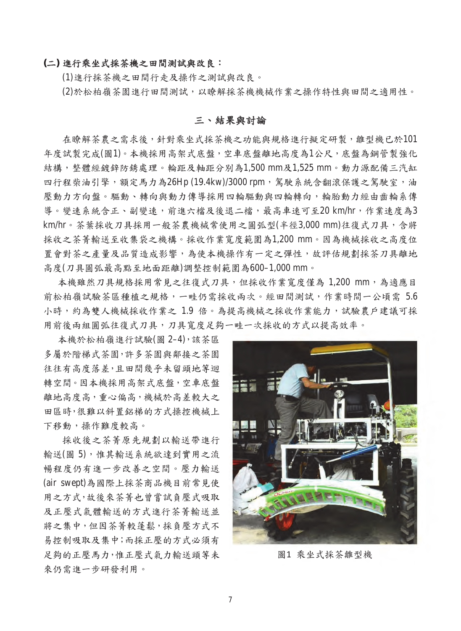#### **(**二**)** 進行乘坐式採茶機之田間測試與改良:

(1)進行採茶機之田間行走及操作之測試與改良。

(2)於松柏嶺茶園進行田間測試,以瞭解採茶機機械作業之操作特性與田間之適用性。

### 三、結果與討論

在瞭解茶農之需求後,針對乘坐式採茶機之功能與規格進行擬定研製,雛型機已於101 年度試製完成(圖1)。本機採用高架式底盤,空車底盤離地高度為1公尺,底盤為鋼管製強化 結構,整體經鍍鋅防銹處理。輪距及軸距分別為1,500 mm及1,525 mm。動力源配備三汽缸 四行程柴油引擎,額定馬力為26Hp (19.4kw)/3000 rpm,駕駛系統含翻滾保護之駕駛室,油 壓動力方向盤。驅動、轉向與動力傳導採用四輪驅動與四輪轉向,輪胎動力經由齒輪系傳 導。變速系統含正、副變速,前進六檔及後退二檔,最高車速可至20 km/hr,作業速度為3 km/hr。茶葉採收刀具採用一般茶農機械常使用之圓弧型(半徑3,000 mm)往復式刀具,含將 採收之茶菁輸送至收集袋之機構。採收作業寬度範圍為1,200 mm。因為機械採收之高度位 置會對茶之產量及品質造成影響,為使本機操作有一定之彈性,故評估規劃採茶刀具離地 高度(刀具圓弧最高點至地面距離)調整控制範圍為600–1,000 mm。

本機雖然刀具規格採用常見之往復式刀具,但採收作業寬度僅為 1,200 mm,為適應目 前松柏嶺試驗茶區種植之規格,一畦仍需採收兩次。經田間測試,作業時間一公頃需 5.6 小時,約為雙人機械採收作業之 1.9 倍。為提高機械之採收作業能力,試驗農戶建議可採 用前後兩組圓弧往復式刀具,刀具寬度足夠一畦一次採收的方式以提高效率。

本機於松柏嶺進行試驗(圖 2–4),該茶區 多屬於階梯式茶園,許多茶園與鄰接之茶園 往往有高度落差,且田間幾乎未留頭地等迴 轉空間。因本機採用高架式底盤,空車底盤 離地高度高,重心偏高,機械於高差較大之 田區時,很難以斜置鋁梯的方式操控機械上 下移動,操作難度較高。

採收後之茶菁原先規劃以輸送帶進行 輸送(圖 5),惟其輸送系統欲達到實用之流 暢程度仍有進一步改善之空間。壓力輸送 (air swept)為國際上採茶商品機目前常見使 用之方式,故後來茶菁也曾嘗試負壓式吸取 及正壓式氣體輸送的方式進行茶菁輸送並 將之集中,但因茶菁較蓬鬆,採負壓方式不 易控制吸取及集中;而採正壓的方式必須有 足夠的正壓馬力,惟正壓式氣力輸送頭等未 來仍需進一步研發利用。



圖1 乘坐式採茶雛型機 圖1 乘坐式採茶雛型機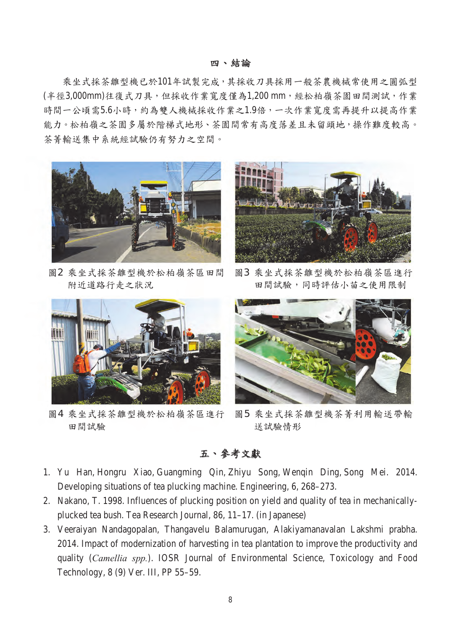# 四、結論

乘坐式採茶雛型機已於101年試製完成,其採收刀具採用一般茶農機械常使用之圓弧型 (半徑3,000mm)往復式刀具,但採收作業寬度僅為1,200 mm,經松柏嶺茶園田間測試,作業 時間一公頃需5.6小時,約為雙人機械採收作業之1.9倍,一次作業寬度需再提升以提高作業 能力。松柏嶺之茶園多屬於階梯式地形、茶園間常有高度落差且未留頭地,操作難度較高。 茶菁輸送集中系統經試驗仍有努力之空間。



圖2 乘坐式採茶雛型機於松柏嶺茶區田間 圖2 乘坐式採茶雛型機於松柏嶺茶區田間 附近道路行走之狀況



圖3 乘坐式採茶雛型機於松柏嶺茶區進行 田間試驗,同時評估小苗之使用限制



圖4 乘坐式採茶雛型機於松柏嶺茶區進行 田間試驗



圖5 乘坐式採茶雛型機茶菁利用輸送帶輸 送試驗情形

# 五、參考文獻

- 1. Yu Han, Hongru Xiao, Guangming Qin, Zhiyu Song, Wenqin Ding, Song Mei. 2014. Developing situations of tea plucking machine. Engineering, 6, 268–273.
- 2. Nakano, T. 1998. Influences of plucking position on yield and quality of tea in mechanicallyplucked tea bush. Tea Research Journal, 86, 11–17. (in Japanese)
- 3. Veeraiyan Nandagopalan, Thangavelu Balamurugan, Alakiyamanavalan Lakshmi prabha. 2014. Impact of modernization of harvesting in tea plantation to improve the productivity and quality (*Camellia spp.*). IOSR Journal of Environmental Science, Toxicology and Food Technology, 8 (9) Ver. III, PP 55–59.